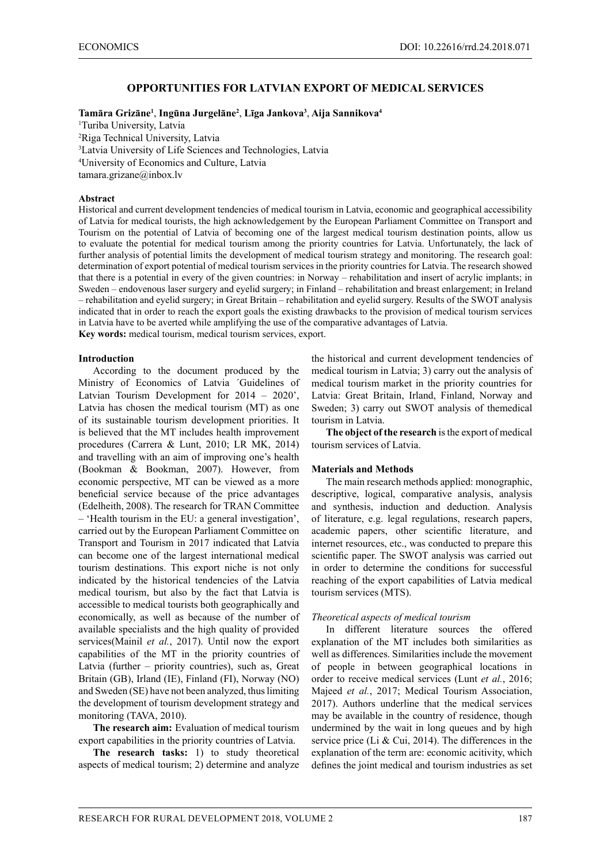## **OPPORTUNITIES FOR LATVIAN EXPORT OF MEDICAL SERVICES**

#### **Tamāra Grizāne<sup>1</sup>** , **Ingūna Jurgelāne<sup>2</sup>** , **Līga Jankova<sup>3</sup>** , **Aija Sannikova4**

 Turiba University, Latvia Riga Technical University, Latvia Latvia University of Life Sciences and Technologies, Latvia University of Economics and Culture, Latvia tamara.grizane@inbox.lv

### **Abstract**

Historical and current development tendencies of medical tourism in Latvia, economic and geographical accessibility of Latvia for medical tourists, the high acknowledgement by the European Parliament Committee on Transport and Tourism on the potential of Latvia of becoming one of the largest medical tourism destination points, allow us to evaluate the potential for medical tourism among the priority countries for Latvia. Unfortunately, the lack of further analysis of potential limits the development of medical tourism strategy and monitoring. The research goal: determination of export potential of medical tourism services in the priority countries for Latvia. The research showed that there is a potential in every of the given countries: in Norway – rehabilitation and insert of acrylic implants; in Sweden – endovenous laser surgery and eyelid surgery; in Finland – rehabilitation and breast enlargement; in Ireland – rehabilitation and eyelid surgery; in Great Britain – rehabilitation and eyelid surgery. Results of the SWOT analysis indicated that in order to reach the export goals the existing drawbacks to the provision of medical tourism services in Latvia have to be averted while amplifying the use of the comparative advantages of Latvia. **Key words:** medical tourism, medical tourism services, export.

#### **Introduction**

According to the document produced by the Ministry of Economics of Latvia ´Guidelines of Latvian Tourism Development for 2014 – 2020', Latvia has chosen the medical tourism (MT) as one of its sustainable tourism development priorities. It is believed that the MT includes health improvement procedures (Carrera & Lunt, 2010; LR MK, 2014) and travelling with an aim of improving one's health (Bookman & Bookman, 2007). However, from economic perspective, MT can be viewed as a more beneficial service because of the price advantages (Edelheith, 2008). The research for TRAN Committee – 'Health tourism in the EU: a general investigation', carried out by the European Parliament Committee on Transport and Tourism in 2017 indicated that Latvia can become one of the largest international medical tourism destinations. This export niche is not only indicated by the historical tendencies of the Latvia medical tourism, but also by the fact that Latvia is accessible to medical tourists both geographically and economically, as well as because of the number of available specialists and the high quality of provided services(Mainil *et al.*, 2017). Until now the export capabilities of the MT in the priority countries of Latvia (further – priority countries), such as, Great Britain (GB), Irland (IE), Finland (FI), Norway (NO) and Sweden (SE) have not been analyzed, thus limiting the development of tourism development strategy and monitoring (TAVA, 2010).

**The research aim:** Evaluation of medical tourism export capabilities in the priority countries of Latvia.

**The research tasks:** 1) to study theoretical aspects of medical tourism; 2) determine and analyze the historical and current development tendencies of medical tourism in Latvia; 3) carry out the analysis of medical tourism market in the priority countries for Latvia: Great Britain, Irland, Finland, Norway and Sweden; 3) carry out SWOT analysis of themedical tourism in Latvia.

**The object of the research** is the export of medical tourism services of Latvia.

#### **Materials and Methods**

The main research methods applied: monographic, descriptive, logical, comparative analysis, analysis and synthesis, induction and deduction. Analysis of literature, e.g. legal regulations, research papers, academic papers, other scientific literature, and internet resources, etc., was conducted to prepare this scientific paper. The SWOT analysis was carried out in order to determine the conditions for successful reaching of the export capabilities of Latvia medical tourism services (MTS).

#### *Theoretical aspects of medical tourism*

In different literature sources the offered explanation of the MT includes both similarities as well as differences. Similarities include the movement of people in between geographical locations in order to receive medical services (Lunt *et al.*, 2016; Majeed *et al.*, 2017; Medical Tourism Association, 2017). Authors underline that the medical services may be available in the country of residence, though undermined by the wait in long queues and by high service price (Li & Cui, 2014). The differences in the explanation of the term are: economic acitivity, which defines the joint medical and tourism industries as set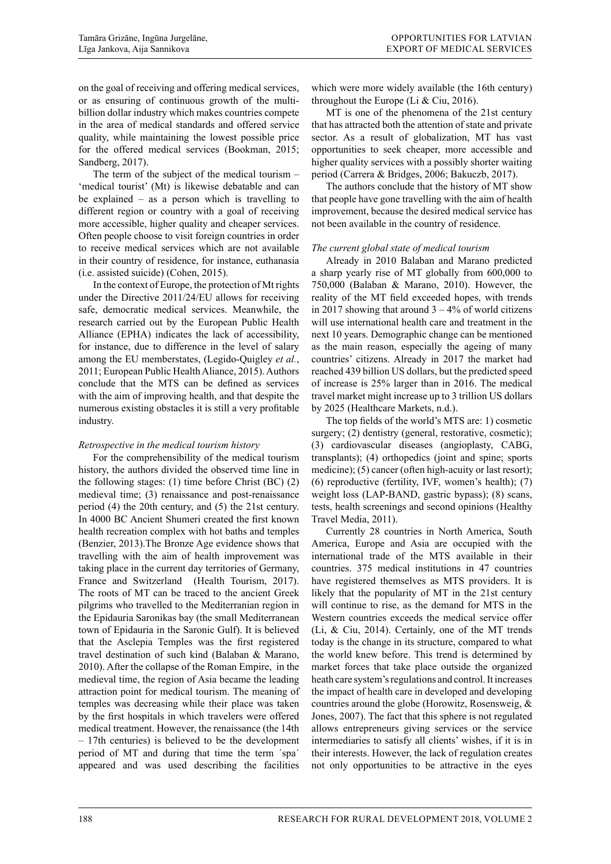on the goal of receiving and offering medical services, or as ensuring of continuous growth of the multibillion dollar industry which makes countries compete in the area of medical standards and offered service quality, while maintaining the lowest possible price for the offered medical services (Bookman, 2015; Sandberg, 2017).

The term of the subject of the medical tourism – 'medical tourist' (Mt) is likewise debatable and can be explained – as a person which is travelling to different region or country with a goal of receiving more accessible, higher quality and cheaper services. Often people choose to visit foreign countries in order to receive medical services which are not available in their country of residence, for instance, euthanasia (i.e. assisted suicide) (Cohen, 2015).

In the context of Europe, the protection of Mt rights under the Directive 2011/24/EU allows for receiving safe, democratic medical services. Meanwhile, the research carried out by the European Public Health Alliance (EPHA) indicates the lack of accessibility, for instance, due to difference in the level of salary among the EU memberstates, (Legido-Quigley *et al.*, 2011; European Public Health Aliance, 2015). Authors conclude that the MTS can be defined as services with the aim of improving health, and that despite the numerous existing obstacles it is still a very profitable industry.

# *Retrospective in the medical tourism history*

For the comprehensibility of the medical tourism history, the authors divided the observed time line in the following stages: (1) time before Christ (BC) (2) medieval time; (3) renaissance and post-renaissance period (4) the 20th century, and (5) the 21st century. In 4000 BC Ancient Shumeri created the first known health recreation complex with hot baths and temples (Benzier, 2013).The Bronze Age evidence shows that travelling with the aim of health improvement was taking place in the current day territories of Germany, France and Switzerland (Health Tourism, 2017). The roots of MT can be traced to the ancient Greek pilgrims who travelled to the Mediterranian region in the Epidauria Saronikas bay (the small Mediterranean town of Epidauria in the Saronic Gulf). It is believed that the Asclepia Temples was the first registered travel destination of such kind (Balaban & Marano, 2010). After the collapse of the Roman Empire, in the medieval time, the region of Asia became the leading attraction point for medical tourism. The meaning of temples was decreasing while their place was taken by the first hospitals in which travelers were offered medical treatment. However, the renaissance (the 14th – 17th centuries) is believed to be the development period of MT and during that time the term ´spa´ appeared and was used describing the facilities which were more widely available (the 16th century) throughout the Europe (Li  $&$  Ciu, 2016).

MT is one of the phenomena of the 21st century that has attracted both the attention of state and private sector. As a result of globalization, MT has vast opportunities to seek cheaper, more accessible and higher quality services with a possibly shorter waiting period (Carrera & Bridges, 2006; Bakuczb, 2017).

The authors conclude that the history of MT show that people have gone travelling with the aim of health improvement, because the desired medical service has not been available in the country of residence.

## *The current global state of medical tourism*

Already in 2010 Balaban and Marano predicted a sharp yearly rise of MT globally from 600,000 to 750,000 (Balaban & Marano, 2010). However, the reality of the MT field exceeded hopes, with trends in 2017 showing that around  $3 - 4\%$  of world citizens will use international health care and treatment in the next 10 years. Demographic change can be mentioned as the main reason, especially the ageing of many countries' citizens. Already in 2017 the market had reached 439 billion US dollars, but the predicted speed of increase is 25% larger than in 2016. The medical travel market might increase up to 3 trillion US dollars by 2025 (Healthcare Markets, n.d.).

The top fields of the world's MTS are: 1) cosmetic surgery; (2) dentistry (general, restorative, cosmetic); (3) cardiovascular diseases (angioplasty, CABG, transplants); (4) orthopedics (joint and spine; sports medicine); (5) cancer (often high-acuity or last resort); (6) reproductive (fertility, IVF, women's health); (7) weight loss (LAP-BAND, gastric bypass); (8) scans, tests, health screenings and second opinions (Healthy Travel Media, 2011).

Currently 28 countries in North America, South America, Europe and Asia are occupied with the international trade of the MTS available in their countries. 375 medical institutions in 47 countries have registered themselves as MTS providers. It is likely that the popularity of MT in the 21st century will continue to rise, as the demand for MTS in the Western countries exceeds the medical service offer (Li, & Ciu, 2014). Certainly, one of the MT trends today is the change in its structure, compared to what the world knew before. This trend is determined by market forces that take place outside the organized heath care system's regulations and control. It increases the impact of health care in developed and developing countries around the globe (Horowitz, Rosensweig, & Jones, 2007). The fact that this sphere is not regulated allows entrepreneurs giving services or the service intermediaries to satisfy all clients' wishes, if it is in their interests. However, the lack of regulation creates not only opportunities to be attractive in the eyes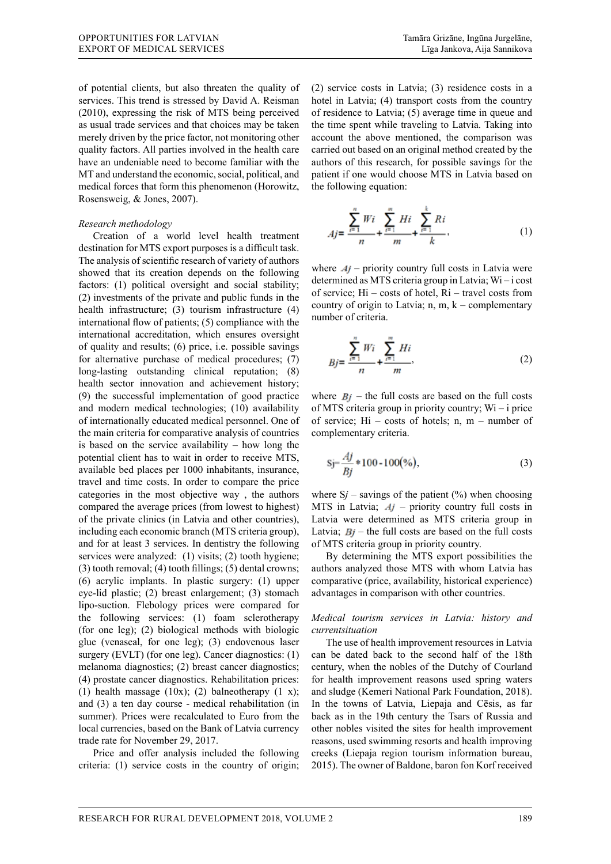of potential clients, but also threaten the quality of services. This trend is stressed by David A. Reisman (2010), expressing the risk of MTS being perceived as usual trade services and that choices may be taken merely driven by the price factor, not monitoring other quality factors. All parties involved in the health care have an undeniable need to become familiar with the MT and understand the economic, social, political, and medical forces that form this phenomenon (Horowitz, Rosensweig, & Jones, 2007).

## *Research methodology*

Creation of a world level health treatment destination for MTS export purposes is a difficult task. The analysis of scientific research of variety of authors showed that its creation depends on the following factors: (1) political oversight and social stability; (2) investments of the private and public funds in the health infrastructure; (3) tourism infrastructure (4) international flow of patients; (5) compliance with the international accreditation, which ensures oversight of quality and results; (6) price, i.e. possible savings for alternative purchase of medical procedures; (7) long-lasting outstanding clinical reputation; (8) health sector innovation and achievement history; (9) the successful implementation of good practice and modern medical technologies; (10) availability of internationally educated medical personnel. One of the main criteria for comparative analysis of countries is based on the service availability – how long the potential client has to wait in order to receive MTS, available bed places per 1000 inhabitants, insurance, travel and time costs. In order to compare the price categories in the most objective way , the authors compared the average prices (from lowest to highest) of the private clinics (in Latvia and other countries), including each economic branch (MTS criteria group), and for at least 3 services. In dentistry the following services were analyzed: (1) visits; (2) tooth hygiene; (3) tooth removal; (4) tooth fillings; (5) dental crowns; (6) acrylic implants. In plastic surgery: (1) upper eye-lid plastic; (2) breast enlargement; (3) stomach lipo-suction. Flebology prices were compared for the following services: (1) foam sclerotherapy (for one leg); (2) biological methods with biologic glue (venaseal, for one leg); (3) endovenous laser surgery (EVLT) (for one leg). Cancer diagnostics: (1) melanoma diagnostics; (2) breast cancer diagnostics; (4) prostate cancer diagnostics. Rehabilitation prices: (1) health massage (10x); (2) balneotherapy (1 x); and (3) a ten day course - medical rehabilitation (in summer). Prices were recalculated to Euro from the local currencies, based on the Bank of Latvia currency trade rate for November 29, 2017.

Price and offer analysis included the following criteria: (1) service costs in the country of origin;

(2) service costs in Latvia; (3) residence costs in a hotel in Latvia; (4) transport costs from the country of residence to Latvia; (5) average time in queue and the time spent while traveling to Latvia. Taking into account the above mentioned, the comparison was carried out based on an original method created by the authors of this research, for possible savings for the patient if one would choose MTS in Latvia based on the following equation:

$$
Aj = \frac{\sum_{i=1}^{n} Wi}{n} + \frac{\sum_{i=1}^{m} Hi}{m} + \frac{\sum_{i=1}^{k} Ri}{k},
$$
 (1)

where  $Aj$  – priority country full costs in Latvia were determined as MTS criteria group in Latvia; Wi – i cost of service; Hi – costs of hotel, Ri – travel costs from country of origin to Latvia;  $n, m, k$  – complementary number of criteria.

$$
Bj = \frac{\sum_{i=1}^{n} Wi}{n} + \frac{\sum_{i=1}^{m} Hi}{m},
$$
 (2)

where  $B_i$  – the full costs are based on the full costs of MTS criteria group in priority country; Wi – i price of service; Hi – costs of hotels; n, m – number of complementary criteria.

$$
Sj = \frac{Aj}{Bj} * 100 - 100(\%),
$$
\n(3)

where  $Sj$  – savings of the patient (%) when choosing MTS in Latvia;  $A_J$  – priority country full costs in Latvia were determined as MTS criteria group in Latvia;  $Bj$  – the full costs are based on the full costs of MTS criteria group in priority country.

By determining the MTS export possibilities the authors analyzed those MTS with whom Latvia has comparative (price, availability, historical experience) advantages in comparison with other countries.

*Medical tourism services in Latvia: history and currentsituation* 

The use of health improvement resources in Latvia can be dated back to the second half of the 18th century, when the nobles of the Dutchy of Courland for health improvement reasons used spring waters and sludge (Kemeri National Park Foundation, 2018). In the towns of Latvia, Liepaja and Cēsis, as far back as in the 19th century the Tsars of Russia and other nobles visited the sites for health improvement reasons, used swimming resorts and health improving creeks (Liepaja region tourism information bureau, 2015). The owner of Baldone, baron fon Korf received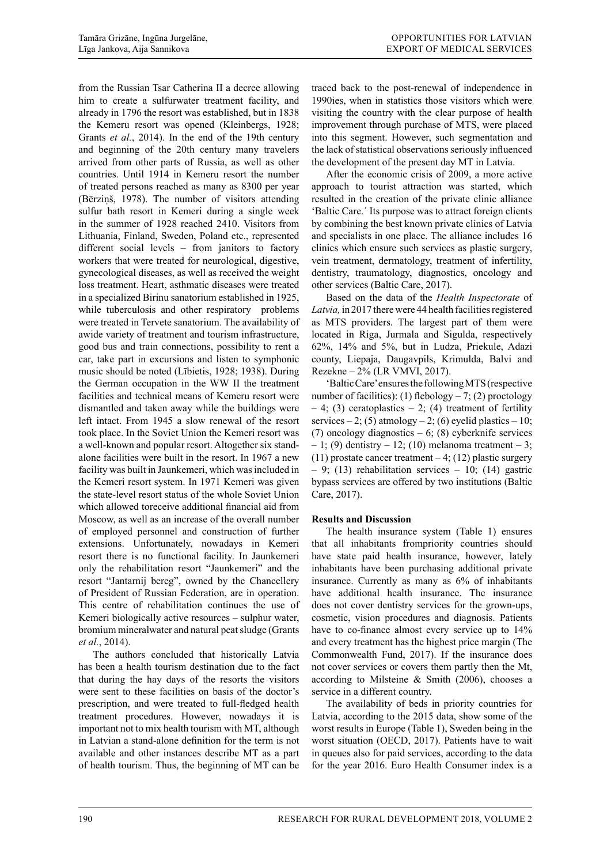from the Russian Tsar Catherina II a decree allowing him to create a sulfurwater treatment facility, and already in 1796 the resort was established, but in 1838 the Kemeru resort was opened (Kleinbergs, 1928; Grants *et al.*, 2014). In the end of the 19th century and beginning of the 20th century many travelers arrived from other parts of Russia, as well as other countries. Until 1914 in Kemeru resort the number of treated persons reached as many as 8300 per year (Bērziņš, 1978). The number of visitors attending sulfur bath resort in Kemeri during a single week in the summer of 1928 reached 2410. Visitors from Lithuania, Finland, Sweden, Poland etc., represented different social levels – from janitors to factory workers that were treated for neurological, digestive, gynecological diseases, as well as received the weight loss treatment. Heart, asthmatic diseases were treated in a specialized Birinu sanatorium established in 1925, while tuberculosis and other respiratory problems were treated in Tervete sanatorium. The availability of awide variety of treatment and tourism infrastructure, good bus and train connections, possibility to rent a car, take part in excursions and listen to symphonic music should be noted (Lībietis, 1928; 1938). During the German occupation in the WW II the treatment facilities and technical means of Kemeru resort were dismantled and taken away while the buildings were left intact. From 1945 a slow renewal of the resort took place. In the Soviet Union the Kemeri resort was a well-known and popular resort. Altogether six standalone facilities were built in the resort. In 1967 a new facility was built in Jaunkemeri, which was included in the Kemeri resort system. In 1971 Kemeri was given the state-level resort status of the whole Soviet Union which allowed toreceive additional financial aid from Moscow, as well as an increase of the overall number of employed personnel and construction of further extensions. Unfortunately, nowadays in Kemeri resort there is no functional facility. In Jaunkemeri only the rehabilitation resort "Jaunkemeri" and the resort "Jantarnij bereg", owned by the Chancellery of President of Russian Federation, are in operation. This centre of rehabilitation continues the use of Kemeri biologically active resources – sulphur water, bromium mineralwater and natural peat sludge (Grants *et al.*, 2014).

The authors concluded that historically Latvia has been a health tourism destination due to the fact that during the hay days of the resorts the visitors were sent to these facilities on basis of the doctor's prescription, and were treated to full-fledged health treatment procedures. However, nowadays it is important not to mix health tourism with MT, although in Latvian a stand-alone definition for the term is not available and other instances describe MT as a part of health tourism. Thus, the beginning of MT can be

traced back to the post-renewal of independence in 1990ies, when in statistics those visitors which were visiting the country with the clear purpose of health improvement through purchase of MTS, were placed into this segment. However, such segmentation and the lack of statistical observations seriously influenced the development of the present day MT in Latvia.

After the economic crisis of 2009, a more active approach to tourist attraction was started, which resulted in the creation of the private clinic alliance 'Baltic Care.´ Its purpose was to attract foreign clients by combining the best known private clinics of Latvia and specialists in one place. The alliance includes 16 clinics which ensure such services as plastic surgery, vein treatment, dermatology, treatment of infertility, dentistry, traumatology, diagnostics, oncology and other services (Baltic Care, 2017).

Based on the data of the *Health Inspectorate* of *Latvia,* in 2017 there were 44 health facilities registered as MTS providers. The largest part of them were located in Riga, Jurmala and Sigulda, respectively 62%, 14% and 5%, but in Ludza, Priekule, Adazi county, Liepaja, Daugavpils, Krimulda, Balvi and Rezekne – 2% (LR VMVI, 2017).

'Baltic Care' ensures the following MTS (respective number of facilities): (1) flebology  $-7$ ; (2) proctology  $-4$ ; (3) ceratoplastics  $-2$ ; (4) treatment of fertility services  $-2$ ; (5) atmology  $-2$ ; (6) eyelid plastics  $-10$ ; (7) oncology diagnostics  $-6$ ; (8) cyberknife services  $-1$ ; (9) dentistry  $-12$ ; (10) melanoma treatment  $-3$ ; (11) prostate cancer treatment  $-4$ ; (12) plastic surgery  $-9$ ; (13) rehabilitation services  $-10$ ; (14) gastric bypass services are offered by two institutions (Baltic Care, 2017).

## **Results and Discussion**

The health insurance system (Table 1) ensures that all inhabitants frompriority countries should have state paid health insurance, however, lately inhabitants have been purchasing additional private insurance. Currently as many as 6% of inhabitants have additional health insurance. The insurance does not cover dentistry services for the grown-ups, cosmetic, vision procedures and diagnosis. Patients have to co-finance almost every service up to 14% and every treatment has the highest price margin (The Commonwealth Fund, 2017). If the insurance does not cover services or covers them partly then the Mt, according to Milsteine & Smith (2006), chooses a service in a different country.

The availability of beds in priority countries for Latvia, according to the 2015 data, show some of the worst results in Europe (Table 1), Sweden being in the worst situation (OECD, 2017). Patients have to wait in queues also for paid services, according to the data for the year 2016. Euro Health Consumer index is a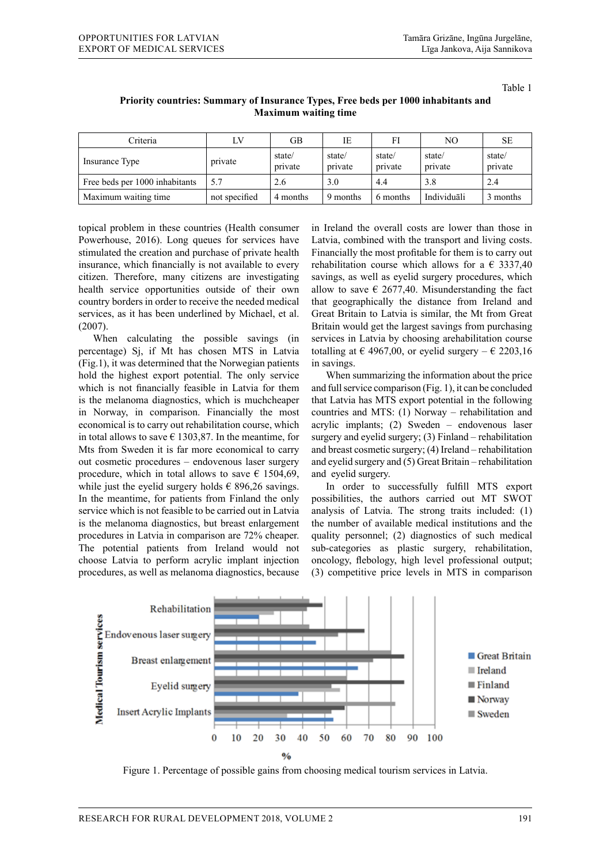Table 1

| Criteria                       | LV            | GB                | IE                | FI                | NO.               | <b>SE</b>         |
|--------------------------------|---------------|-------------------|-------------------|-------------------|-------------------|-------------------|
| Insurance Type                 | private       | state/<br>private | state/<br>private | state/<br>private | state/<br>private | state/<br>private |
| Free beds per 1000 inhabitants | 5.7           | 2.6               | 3.0               | 4.4               | 3.8               | 2.4               |
| Maximum waiting time           | not specified | 4 months          | 9 months          | 6 months          | Individuāli       | 3 months          |

## **Priority countries: Summary of Insurance Types, Free beds per 1000 inhabitants and Maximum waiting time**

topical problem in these countries (Health consumer Powerhouse, 2016). Long queues for services have stimulated the creation and purchase of private health insurance, which financially is not available to every citizen. Therefore, many citizens are investigating health service opportunities outside of their own country borders in order to receive the needed medical services, as it has been underlined by Michael, et al. (2007).

When calculating the possible savings (in percentage) Sj, if Mt has chosen MTS in Latvia (Fig.1), it was determined that the Norwegian patients hold the highest export potential. The only service which is not financially feasible in Latvia for them is the melanoma diagnostics, which is muchcheaper in Norway, in comparison. Financially the most economical is to carry out rehabilitation course, which in total allows to save  $\epsilon$  1303,87. In the meantime, for Mts from Sweden it is far more economical to carry out cosmetic procedures – endovenous laser surgery procedure, which in total allows to save  $\epsilon$  1504,69, while just the eyelid surgery holds  $\epsilon$  896,26 savings. In the meantime, for patients from Finland the only service which is not feasible to be carried out in Latvia is the melanoma diagnostics, but breast enlargement procedures in Latvia in comparison are 72% cheaper. The potential patients from Ireland would not choose Latvia to perform acrylic implant injection procedures, as well as melanoma diagnostics, because

in Ireland the overall costs are lower than those in Latvia, combined with the transport and living costs. Financially the most profitable for them is to carry out rehabilitation course which allows for a  $\epsilon$  3337,40 savings, as well as eyelid surgery procedures, which allow to save  $\epsilon$  2677,40. Misunderstanding the fact that geographically the distance from Ireland and Great Britain to Latvia is similar, the Mt from Great Britain would get the largest savings from purchasing services in Latvia by choosing arehabilitation course totalling at  $\epsilon$  4967,00, or eyelid surgery –  $\epsilon$  2203,16 in savings.

When summarizing the information about the price and full service comparison (Fig. 1), it can be concluded that Latvia has MTS export potential in the following countries and MTS: (1) Norway – rehabilitation and acrylic implants; (2) Sweden – endovenous laser surgery and eyelid surgery; (3) Finland – rehabilitation and breast cosmetic surgery; (4) Ireland – rehabilitation and eyelid surgery and (5) Great Britain – rehabilitation and eyelid surgery.

In order to successfully fulfill MTS export possibilities, the authors carried out MT SWOT analysis of Latvia. The strong traits included: (1) the number of available medical institutions and the quality personnel; (2) diagnostics of such medical sub-categories as plastic surgery, rehabilitation, oncology, flebology, high level professional output; (3) competitive price levels in MTS in comparison



Figure 1. Percentage of possible gains from choosing medical tourism services in Latvia.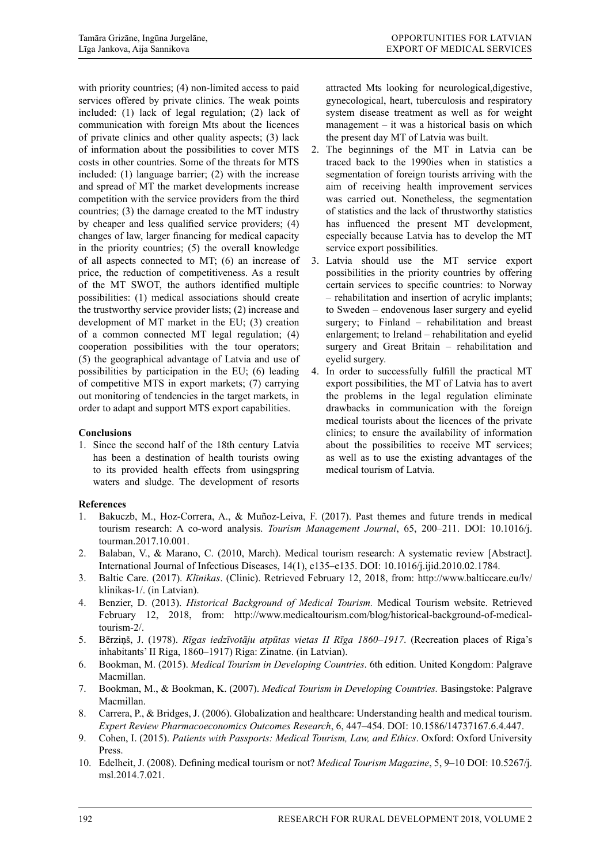with priority countries; (4) non-limited access to paid services offered by private clinics. The weak points included: (1) lack of legal regulation; (2) lack of communication with foreign Mts about the licences of private clinics and other quality aspects; (3) lack of information about the possibilities to cover MTS costs in other countries. Some of the threats for MTS included: (1) language barrier; (2) with the increase and spread of MT the market developments increase competition with the service providers from the third countries; (3) the damage created to the MT industry by cheaper and less qualified service providers; (4) changes of law, larger financing for medical capacity in the priority countries; (5) the overall knowledge of all aspects connected to MT; (6) an increase of price, the reduction of competitiveness. As a result of the MT SWOT, the authors identified multiple possibilities: (1) medical associations should create the trustworthy service provider lists; (2) increase and development of MT market in the EU; (3) creation of a common connected MT legal regulation; (4) cooperation possibilities with the tour operators; (5) the geographical advantage of Latvia and use of possibilities by participation in the EU; (6) leading of competitive MTS in export markets; (7) carrying out monitoring of tendencies in the target markets, in order to adapt and support MTS export capabilities.

## **Conclusions**

1. Since the second half of the 18th century Latvia has been a destination of health tourists owing to its provided health effects from usingspring waters and sludge. The development of resorts

attracted Mts looking for neurological,digestive, gynecological, heart, tuberculosis and respiratory system disease treatment as well as for weight management – it was a historical basis on which the present day MT of Latvia was built.

- 2. The beginnings of the MT in Latvia can be traced back to the 1990ies when in statistics a segmentation of foreign tourists arriving with the aim of receiving health improvement services was carried out. Nonetheless, the segmentation of statistics and the lack of thrustworthy statistics has influenced the present MT development, especially because Latvia has to develop the MT service export possibilities.
- 3. Latvia should use the MT service export possibilities in the priority countries by offering certain services to specific countries: to Norway – rehabilitation and insertion of acrylic implants; to Sweden – endovenous laser surgery and eyelid surgery; to Finland – rehabilitation and breast enlargement; to Ireland – rehabilitation and eyelid surgery and Great Britain – rehabilitation and eyelid surgery.
- 4. In order to successfully fulfill the practical MT export possibilities, the MT of Latvia has to avert the problems in the legal regulation eliminate drawbacks in communication with the foreign medical tourists about the licences of the private clinics; to ensure the availability of information about the possibilities to receive MT services; as well as to use the existing advantages of the medical tourism of Latvia.

# **References**

- 1. Bakuczb, M., Hoz-Correra, A., & Muñoz-Leiva, F. (2017). Past themes and future trends in medical tourism research: A co-word analysis. *Tourism Management Journal*, 65, 200–211. DOI: 10.1016/j. tourman.2017.10.001.
- 2. Balaban, V., & Marano, C. (2010, March). Medical tourism research: A systematic review [Abstract]. International Journal of Infectious Diseases, 14(1), e135–e135. DOI: 10.1016/j.ijid.2010.02.1784.
- 3. Baltic Care. (2017). *Klīnikas*. (Clinic). Retrieved February 12, 2018, from: http://www.balticcare.eu/lv/ klinikas-1/. (in Latvian).
- 4. Benzier, D. (2013). *Historical Background of Medical Tourism.* Medical Tourism website. Retrieved February 12, 2018, from: http://www.medicaltourism.com/blog/historical-background-of-medicaltourism-2/.
- 5. Bērziņš, J. (1978). *Rīgas iedzīvotāju atpūtas vietas II Rīga 1860*–*1917*. (Recreation places of Riga's inhabitants' II Riga, 1860–1917) Riga: Zinatne. (in Latvian).
- 6. Bookman, M. (2015). *Medical Tourism in Developing Countries*. 6th edition. United Kongdom: Palgrave Macmillan.
- 7. Bookman, M., & Bookman, K. (2007). *Medical Tourism in Developing Countries.* Basingstoke: Palgrave Macmillan.
- 8. Carrera, P., & Bridges, J. (2006). Globalization and healthcare: Understanding health and medical tourism. *Expert Review Pharmacoeconomics Outcomes Research*, 6, 447–454. DOI: 10.1586/14737167.6.4.447.
- 9. Cohen, I. (2015). *Patients with Passports: Medical Tourism, Law, and Ethics*. Oxford: Oxford University Press.
- 10. Edelheit, J. (2008). Defining medical tourism or not? *Medical Tourism Magazine*, 5, 9–10 DOI: 10.5267/j. msl.2014.7.021.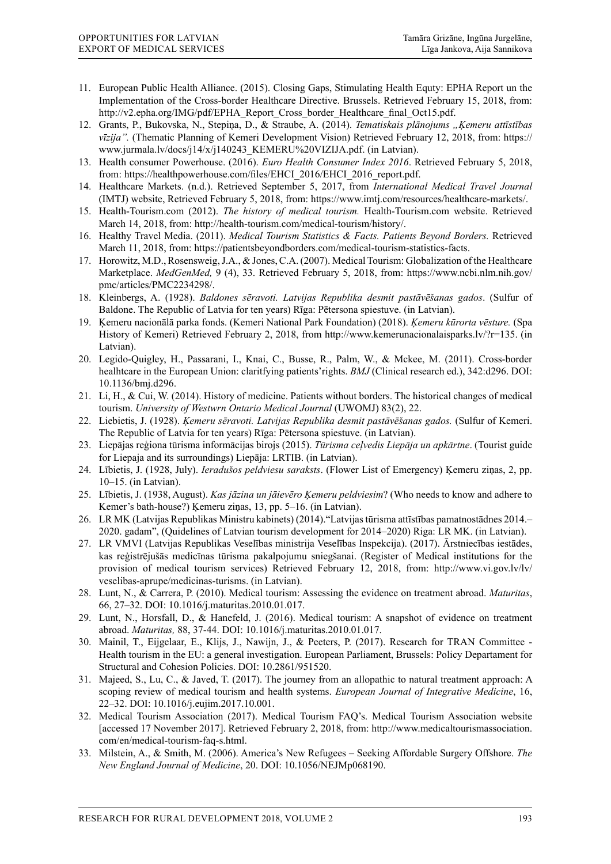- 11. European Public Health Alliance. (2015). Closing Gaps, Stimulating Health Equty: EPHA Report un the Implementation of the Cross-border Healthcare Directive. Brussels. Retrieved February 15, 2018, from: http://v2.epha.org/IMG/pdf/EPHA\_Report\_Cross\_border\_Healthcare\_final\_Oct15.pdf.
- 12. Grants, P., Bukovska, N., Stepiņa, D., & Straube, A. (2014). *Tematiskais plānojums "Ķemeru attīstības vīzija".* (Thematic Planning of Kemeri Development Vision) Retrieved February 12, 2018, from: https:// www.jurmala.lv/docs/j14/x/j140243\_KEMERU%20VIZIJA.pdf. (in Latvian).
- 13. Health consumer Powerhouse. (2016). *Euro Health Consumer Index 2016*. Retrieved February 5, 2018, from: https://healthpowerhouse.com/files/EHCI\_2016/EHCI\_2016\_report.pdf.
- 14. Healthcare Markets. (n.d.). Retrieved September 5, 2017, from *International Medical Travel Journal* (IMTJ) website, Retrieved February 5, 2018, from: https://www.imtj.com/resources/healthcare-markets/.
- 15. Health-Tourism.com (2012). *The history of medical tourism.* Health-Tourism.com website. Retrieved March 14, 2018, from: http://health-tourism.com/medical-tourism/history/.
- 16. Healthy Travel Media. (2011). *Medical Tourism Statistics & Facts. Patients Beyond Borders.* Retrieved March 11, 2018, from: https://patientsbeyondborders.com/medical-tourism-statistics-facts.
- 17. Horowitz, M.D., Rosensweig, J.A., & Jones, C.A. (2007). Medical Tourism: Globalization of the Healthcare Marketplace. *MedGenMed,* 9 (4), 33. Retrieved February 5, 2018, from: https://www.ncbi.nlm.nih.gov/ pmc/articles/PMC2234298/.
- 18. Kleinbergs, A. (1928). *Baldones sēravoti. Latvijas Republika desmit pastāvēšanas gados*. (Sulfur of Baldone. The Republic of Latvia for ten years) Rīga: Pētersona spiestuve. (in Latvian).
- 19. Ķemeru nacionālā parka fonds. (Kemeri National Park Foundation) (2018). *Ķemeru kūrorta vēsture.* (Spa History of Kemeri) Retrieved February 2, 2018, from http://www.kemerunacionalaisparks.lv/?r=135. (in Latvian).
- 20. Legido-Quigley, H., Passarani, I., Knai, C., Busse, R., Palm, W., & Mckee, M. (2011). Cross-border healhtcare in the European Union: claritfying patients'rights. *BMJ* (Clinical research ed.), 342:d296. DOI: 10.1136/bmj.d296.
- 21. Li, H., & Cui, W. (2014). History of medicine. Patients without borders. The historical changes of medical tourism. *University of Westwrn Ontario Medical Journal* (UWOMJ) 83(2), 22.
- 22. Liebietis, J. (1928). *Ķemeru sēravoti. Latvijas Republika desmit pastāvēšanas gados.* (Sulfur of Kemeri. The Republic of Latvia for ten years) Rīga: Pētersona spiestuve. (in Latvian).
- 23. Liepājas reģiona tūrisma informācijas birojs (2015). *Tūrisma ceļvedis Liepāja un apkārtne*. (Tourist guide for Liepaja and its surroundings) Liepāja: LRTIB. (in Latvian).
- 24. Lībietis, J. (1928, July). *Ieradušos peldviesu saraksts*. (Flower List of Emergency) Ķemeru ziņas, 2, pp. 10–15. (in Latvian).
- 25. Lībietis, J. (1938, August). *Kas jāzina un jāievēro Ķemeru peldviesim*? (Who needs to know and adhere to Kemer's bath-house?) Ķemeru ziņas, 13, pp. 5–16. (in Latvian).
- 26. LR MK (Latvijas Republikas Ministru kabinets) (2014)."Latvijas tūrisma attīstības pamatnostādnes 2014.– 2020. gadam", (Quidelines of Latvian tourism development for 2014–2020) Riga: LR MK. (in Latvian).
- 27. LR VMVI (Latvijas Republikas Veselības ministrija Veselības Inspekcija). (2017). Ārstniecības iestādes, kas reģistrējušās medicīnas tūrisma pakalpojumu sniegšanai. (Register of Medical institutions for the provision of medical tourism services) Retrieved February 12, 2018, from: http://www.vi.gov.lv/lv/ veselibas-aprupe/medicinas-turisms. (in Latvian).
- 28. Lunt, N., & Carrera, P. (2010). Medical tourism: Assessing the evidence on treatment abroad. *Maturitas*, 66, 27–32. DOI: 10.1016/j.maturitas.2010.01.017.
- 29. Lunt, N., Horsfall, D., & Hanefeld, J. (2016). Medical tourism: A snapshot of evidence on treatment abroad. *Maturitas,* 88, 37-44. DOI: 10.1016/j.maturitas.2010.01.017.
- 30. Mainil, T., Eijgelaar, E., Klijs, J., Nawijn, J., & Peeters, P. (2017). Research for TRAN Committee Health tourism in the EU: a general investigation. European Parliament, Brussels: Policy Departament for Structural and Cohesion Policies. DOI: 10.2861/951520.
- 31. Majeed, S., Lu, C., & Javed, T. (2017). The journey from an allopathic to natural treatment approach: A scoping review of medical tourism and health systems. *European Journal of Integrative Medicine*, 16, 22–32. DOI: 10.1016/j.eujim.2017.10.001.
- 32. Medical Tourism Association (2017). Medical Tourism FAQ's. Medical Tourism Association website [accessed 17 November 2017]. Retrieved February 2, 2018, from: http://www.medicaltourismassociation. com/en/medical-tourism-faq-s.html.
- 33. Milstein, A., & Smith, M. (2006). America's New Refugees Seeking Affordable Surgery Offshore. *The New England Journal of Medicine*, 20. DOI: 10.1056/NEJMp068190.